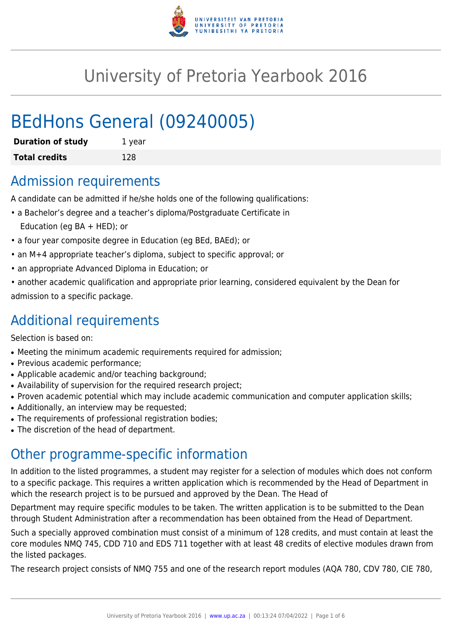

# University of Pretoria Yearbook 2016

# BEdHons General (09240005)

| <b>Duration of study</b> | 1 year |
|--------------------------|--------|
| <b>Total credits</b>     | 128    |

# Admission requirements

A candidate can be admitted if he/she holds one of the following qualifications:

- a Bachelor's degree and a teacher's diploma/Postgraduate Certificate in Education (eg BA + HED); or
- a four year composite degree in Education (eg BEd, BAEd); or
- an M+4 appropriate teacher's diploma, subject to specific approval; or
- an appropriate Advanced Diploma in Education; or
- another academic qualification and appropriate prior learning, considered equivalent by the Dean for admission to a specific package.

# Additional requirements

Selection is based on:

- Meeting the minimum academic requirements required for admission;
- Previous academic performance:
- Applicable academic and/or teaching background;
- Availability of supervision for the required research project;
- Proven academic potential which may include academic communication and computer application skills;
- Additionally, an interview may be requested;
- The requirements of professional registration bodies;
- The discretion of the head of department.

# Other programme-specific information

In addition to the listed programmes, a student may register for a selection of modules which does not conform to a specific package. This requires a written application which is recommended by the Head of Department in which the research project is to be pursued and approved by the Dean. The Head of

Department may require specific modules to be taken. The written application is to be submitted to the Dean through Student Administration after a recommendation has been obtained from the Head of Department.

Such a specially approved combination must consist of a minimum of 128 credits, and must contain at least the core modules NMQ 745, CDD 710 and EDS 711 together with at least 48 credits of elective modules drawn from the listed packages.

The research project consists of NMQ 755 and one of the research report modules (AQA 780, CDV 780, CIE 780,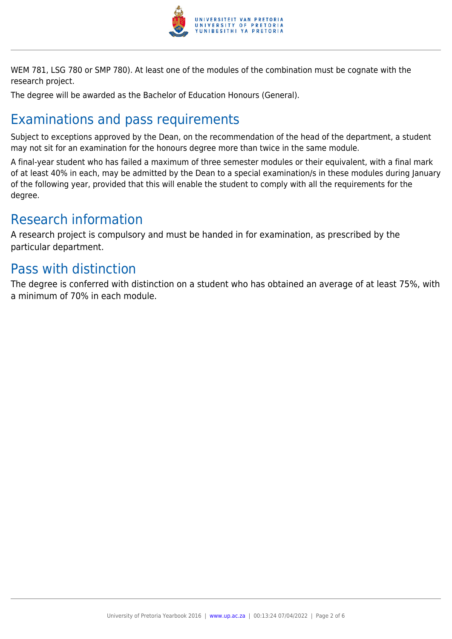

WEM 781, LSG 780 or SMP 780). At least one of the modules of the combination must be cognate with the research project.

The degree will be awarded as the Bachelor of Education Honours (General).

# Examinations and pass requirements

Subject to exceptions approved by the Dean, on the recommendation of the head of the department, a student may not sit for an examination for the honours degree more than twice in the same module.

A final-year student who has failed a maximum of three semester modules or their equivalent, with a final mark of at least 40% in each, may be admitted by the Dean to a special examination/s in these modules during January of the following year, provided that this will enable the student to comply with all the requirements for the degree.

# Research information

A research project is compulsory and must be handed in for examination, as prescribed by the particular department.

# Pass with distinction

The degree is conferred with distinction on a student who has obtained an average of at least 75%, with a minimum of 70% in each module.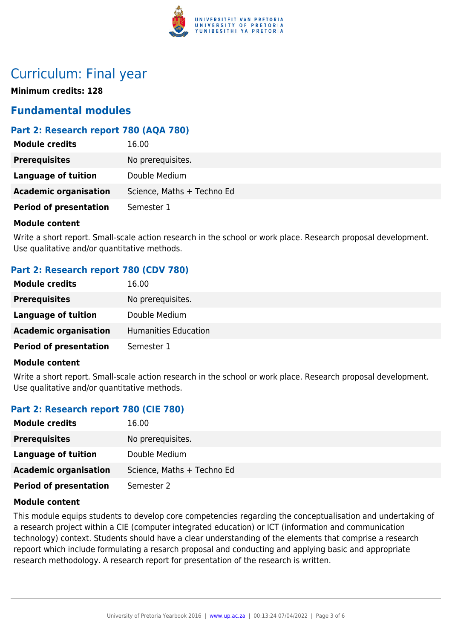

# Curriculum: Final year

**Minimum credits: 128**

## **Fundamental modules**

**Module can be a set of the contract of the contract of the contract of the contract of the contract of the contract of the contract of the contract of the contract of the contract of the contract of the contract of the co** 

### **Part 2: Research report 780 (AQA 780)**

| <b>Module Credits</b>         | 10.UU                      |
|-------------------------------|----------------------------|
| <b>Prerequisites</b>          | No prerequisites.          |
| Language of tuition           | Double Medium              |
| <b>Academic organisation</b>  | Science, Maths + Techno Ed |
| <b>Period of presentation</b> | Semester 1                 |
|                               |                            |

#### **Module content**

Write a short report. Small-scale action research in the school or work place. Research proposal development. Use qualitative and/or quantitative methods.

### **Part 2: Research report 780 (CDV 780)**

| <b>Module credits</b>         | 16.00                |
|-------------------------------|----------------------|
| <b>Prerequisites</b>          | No prerequisites.    |
| Language of tuition           | Double Medium        |
| <b>Academic organisation</b>  | Humanities Education |
| <b>Period of presentation</b> | Semester 1           |

#### **Module content**

Write a short report. Small-scale action research in the school or work place. Research proposal development. Use qualitative and/or quantitative methods.

### **Part 2: Research report 780 (CIE 780)**

| <b>Module credits</b>         | 16.00                      |
|-------------------------------|----------------------------|
| <b>Prerequisites</b>          | No prerequisites.          |
| Language of tuition           | Double Medium              |
| <b>Academic organisation</b>  | Science, Maths + Techno Ed |
| <b>Period of presentation</b> | Semester 2                 |

#### **Module content**

This module equips students to develop core competencies regarding the conceptualisation and undertaking of a research project within a CIE (computer integrated education) or ICT (information and communication technology) context. Students should have a clear understanding of the elements that comprise a research repoort which include formulating a resarch proposal and conducting and applying basic and appropriate research methodology. A research report for presentation of the research is written.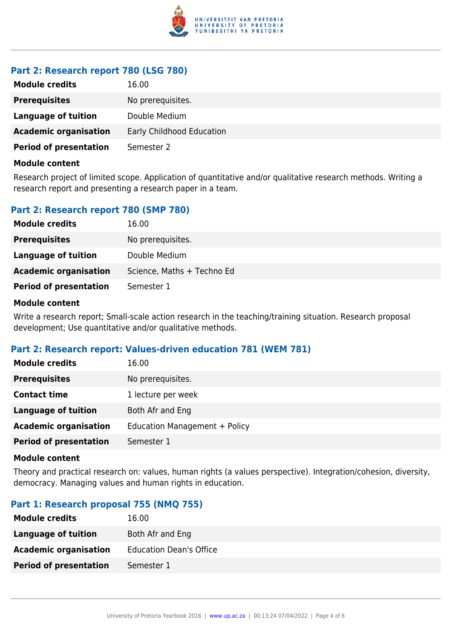

### **Part 2: Research report 780 (LSG 780)**

| <b>Module credits</b>         | 16.00                     |
|-------------------------------|---------------------------|
| <b>Prerequisites</b>          | No prerequisites.         |
| Language of tuition           | Double Medium             |
| <b>Academic organisation</b>  | Early Childhood Education |
| <b>Period of presentation</b> | Semester 2                |

#### **Module content**

Research project of limited scope. Application of quantitative and/or qualitative research methods. Writing a research report and presenting a research paper in a team.

### **Part 2: Research report 780 (SMP 780)**

| <b>Module credits</b>         | 16.00                      |
|-------------------------------|----------------------------|
| <b>Prerequisites</b>          | No prerequisites.          |
| Language of tuition           | Double Medium              |
| <b>Academic organisation</b>  | Science, Maths + Techno Ed |
| <b>Period of presentation</b> | Semester 1                 |

#### **Module content**

Write a research report; Small-scale action research in the teaching/training situation. Research proposal development; Use quantitative and/or qualitative methods.

#### **Part 2: Research report: Values-driven education 781 (WEM 781)**

| <b>Module credits</b>         | 16.00                         |
|-------------------------------|-------------------------------|
| <b>Prerequisites</b>          | No prerequisites.             |
| <b>Contact time</b>           | 1 lecture per week            |
| <b>Language of tuition</b>    | Both Afr and Eng              |
| <b>Academic organisation</b>  | Education Management + Policy |
| <b>Period of presentation</b> | Semester 1                    |

#### **Module content**

Theory and practical research on: values, human rights (a values perspective). Integration/cohesion, diversity, democracy. Managing values and human rights in education.

#### **Part 1: Research proposal 755 (NMQ 755)**

| <b>Module credits</b>         | 16.00                          |
|-------------------------------|--------------------------------|
| Language of tuition           | Both Afr and Eng               |
| <b>Academic organisation</b>  | <b>Education Dean's Office</b> |
| <b>Period of presentation</b> | Semester 1                     |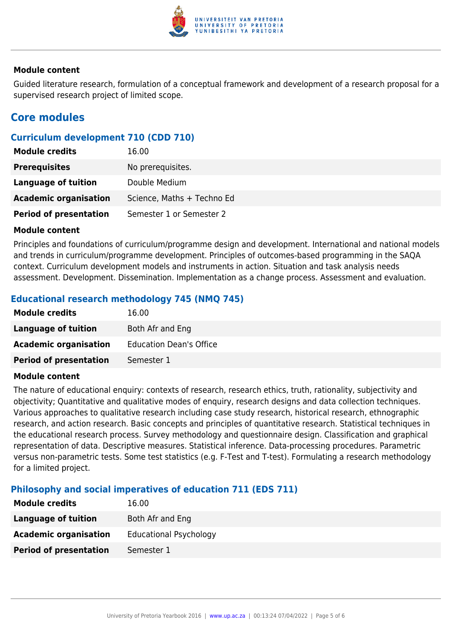

#### **Module content**

Guided literature research, formulation of a conceptual framework and development of a research proposal for a supervised research project of limited scope.

## **Core modules**

### **Curriculum development 710 (CDD 710)**

| <b>Module credits</b>         | 16.00                      |
|-------------------------------|----------------------------|
| <b>Prerequisites</b>          | No prerequisites.          |
| <b>Language of tuition</b>    | Double Medium              |
| <b>Academic organisation</b>  | Science, Maths + Techno Ed |
| <b>Period of presentation</b> | Semester 1 or Semester 2   |

#### **Module content**

Principles and foundations of curriculum/programme design and development. International and national models and trends in curriculum/programme development. Principles of outcomes-based programming in the SAQA context. Curriculum development models and instruments in action. Situation and task analysis needs assessment. Development. Dissemination. Implementation as a change process. Assessment and evaluation.

### **Educational research methodology 745 (NMQ 745)**

| <b>Module credits</b>         | 16.00                          |
|-------------------------------|--------------------------------|
| <b>Language of tuition</b>    | Both Afr and Eng               |
| <b>Academic organisation</b>  | <b>Education Dean's Office</b> |
| <b>Period of presentation</b> | Semester 1                     |

#### **Module content**

The nature of educational enquiry: contexts of research, research ethics, truth, rationality, subjectivity and objectivity; Quantitative and qualitative modes of enquiry, research designs and data collection techniques. Various approaches to qualitative research including case study research, historical research, ethnographic research, and action research. Basic concepts and principles of quantitative research. Statistical techniques in the educational research process. Survey methodology and questionnaire design. Classification and graphical representation of data. Descriptive measures. Statistical inference. Data-processing procedures. Parametric versus non-parametric tests. Some test statistics (e.g. F-Test and T-test). Formulating a research methodology for a limited project.

#### **Philosophy and social imperatives of education 711 (EDS 711)**

| <b>Module credits</b>         | 16.00                         |
|-------------------------------|-------------------------------|
| Language of tuition           | Both Afr and Eng              |
| <b>Academic organisation</b>  | <b>Educational Psychology</b> |
| <b>Period of presentation</b> | Semester 1                    |
|                               |                               |